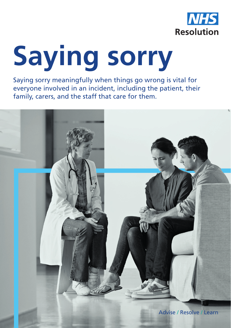

# **Saying sorry**

Saying sorry meaningfully when things go wrong is vital for everyone involved in an incident, including the patient, their family, carers, and the staff that care for them.

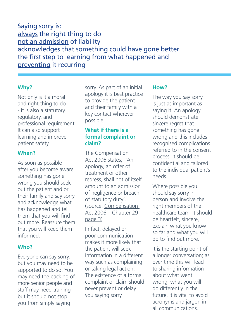Saying sorry is: always the right thing to do not an admission of liability acknowledges that something could have gone better the first step to learning from what happened and preventing it recurring

#### **Why?**

Not only is it a moral and right thing to do - it is also a statutory, regulatory, and professional requirement. It can also support learning and improve patient safety.

## **When?**

As soon as possible after you become aware something has gone wrong you should seek out the patient and or their family and say sorry and acknowledge what has happened and tell them that you will find out more. Reassure them that you will keep them informed.

## **Who?**

Everyone can say sorry, but you may need to be supported to do so. You may need the backing of more senior people and staff may need training but it should not stop you from simply saying

sorry. As part of an initial apology it is best practice to provide the patient and their family with a key contact wherever possible.

## **What if there is a formal complaint or claim?**

The Compensation Act 2006 states; 'An apology, an offer of treatment or other redress, shall not of itself amount to an admission of negligence or breach of statutory duty'. (source: Compensation Act 2006 – Chapter 29 page 3)

In fact, delayed or poor communication makes it more likely that the patient will seek information in a different way such as complaining or taking legal action. The existence of a formal complaint or claim should never prevent or delay you saying sorry.

#### **How?**

The way you say sorry is just as important as saying it. An apology should demonstrate sincere regret that something has gone wrong and this includes recognised complications referred to in the consent process. It should be confidential and tailored to the individual patient's needs.

Where possible you should say sorry in person and involve the right members of the healthcare team. It should be heartfelt, sincere, explain what you know so far and what you will do to find out more.

It is the starting point of a longer conversation; as over time this will lead to sharing information about what went wrong, what you will do differently in the future. It is vital to avoid acronyms and jargon in all communications.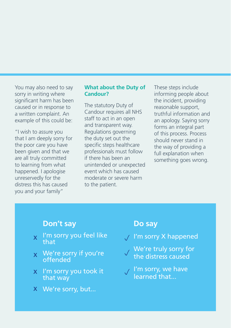You may also need to say sorry in writing where significant harm has been caused or in response to a written complaint. An example of this could be:

"I wish to assure you that I am deeply sorry for the poor care you have been given and that we are all truly committed to learning from what happened. I apologise unreservedly for the distress this has caused you and your family"

#### **What about the Duty of Candour?**

The statutory Duty of Candour requires all NHS staff to act in an open and transparent way. Regulations governing the duty set out the specific steps healthcare professionals must follow if there has been an unintended or unexpected event which has caused moderate or severe harm to the patient.

These steps include informing people about the incident, providing reasonable support, truthful information and an apology. Saying sorry forms an integral part of this process. Process should never stand in the way of providing a full explanation when something goes wrong.

# **Don't say**

- $\chi$  I'm sorry you feel like that
- $x \cdot We'$ re sorry if you're offended
- x I'm sorry you took it that way
- We're sorry, but... x

# **Do say**

- I'm sorry X happened p
- We're truly sorry for the distress caused